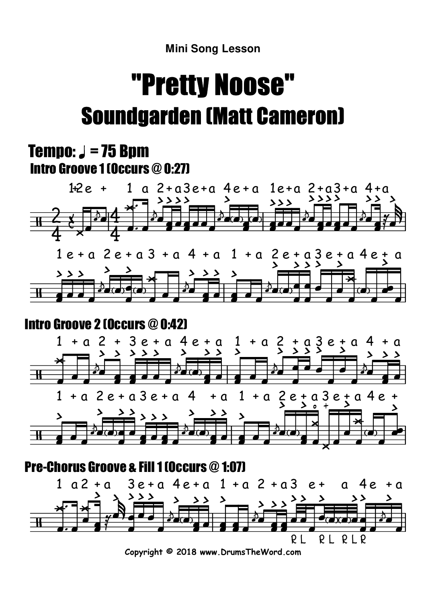# "Pretty Noose"Soundgarden (Matt Cameron)

### Tempo:  $J = 75$  Bpm Intro Groove 1 (Occurs @ 0:27)



## Intro Groove 2 (Occurs @ 0:42)

╫



**Copyright © 2018 www.DrumsTheWord.com**

 $P<sub>l</sub>$ 

R L R L R